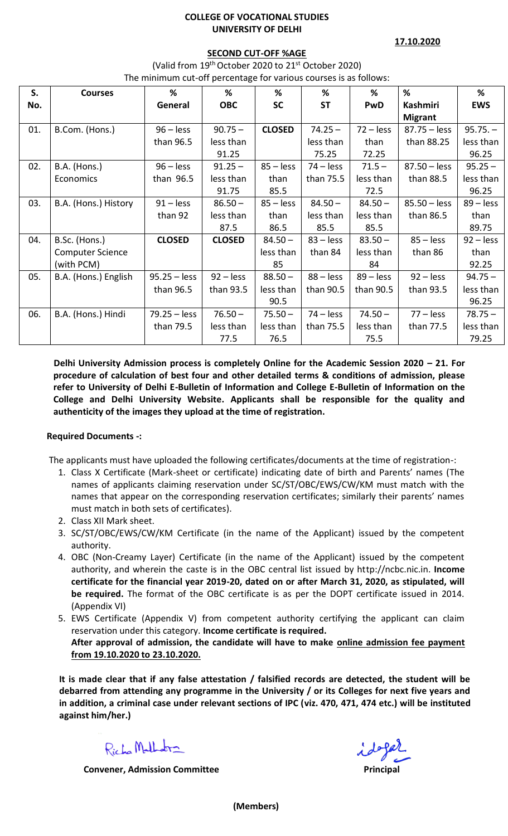## **COLLEGE OF VOCATIONAL STUDIES UNIVERSITY OF DELHI**

**17.10.2020**

## **SECOND CUT-OFF %AGE**

(Valid from 19<sup>th</sup> October 2020 to 21<sup>st</sup> October 2020) The minimum cut-off percentage for various courses is as follows:

| S.  | <b>Courses</b>          | %              | %             | %             | %           | %           | %              | %           |  |  |  |
|-----|-------------------------|----------------|---------------|---------------|-------------|-------------|----------------|-------------|--|--|--|
| No. |                         | General        | <b>OBC</b>    | <b>SC</b>     | <b>ST</b>   | PwD         | Kashmiri       | <b>EWS</b>  |  |  |  |
|     |                         |                |               |               |             |             | <b>Migrant</b> |             |  |  |  |
| 01. | B.Com. (Hons.)          | $96 - less$    | $90.75 -$     | <b>CLOSED</b> | $74.25 -$   | $72 - less$ | $87.75 -$ less | $95.75. -$  |  |  |  |
|     |                         | than 96.5      | less than     |               | less than   | than        | than 88.25     | less than   |  |  |  |
|     |                         |                | 91.25         |               | 75.25       | 72.25       |                | 96.25       |  |  |  |
| 02. | B.A. (Hons.)            | $96 - less$    | $91.25 -$     | $85 -$ less   | $74 - less$ | $71.5 -$    | $87.50 -$ less | $95.25 -$   |  |  |  |
|     | Economics               | than 96.5      | less than     | than          | than 75.5   | less than   | than 88.5      | less than   |  |  |  |
|     |                         |                | 91.75         | 85.5          |             | 72.5        |                | 96.25       |  |  |  |
| 03. | B.A. (Hons.) History    | $91 - less$    | $86.50 -$     | $85 -$ less   | $84.50 -$   | $84.50 -$   | $85.50 - less$ | $89 - less$ |  |  |  |
|     |                         | than 92        | less than     | than          | less than   | less than   | than 86.5      | than        |  |  |  |
|     |                         |                | 87.5          | 86.5          | 85.5        | 85.5        |                | 89.75       |  |  |  |
| 04. | B.Sc. (Hons.)           | <b>CLOSED</b>  | <b>CLOSED</b> | $84.50 -$     | $83 - less$ | $83.50 -$   | $85 - less$    | $92 - less$ |  |  |  |
|     | <b>Computer Science</b> |                |               | less than     | than 84     | less than   | than 86        | than        |  |  |  |
|     | (with PCM)              |                |               | 85            |             | 84          |                | 92.25       |  |  |  |
| 05. | B.A. (Hons.) English    | $95.25 - less$ | $92 - less$   | $88.50 -$     | $88 -$ less | $89 -$ less | $92 - less$    | $94.75 -$   |  |  |  |
|     |                         | than 96.5      | than 93.5     | less than     | than 90.5   | than 90.5   | than 93.5      | less than   |  |  |  |
|     |                         |                |               | 90.5          |             |             |                | 96.25       |  |  |  |
| 06. | B.A. (Hons.) Hindi      | $79.25 - less$ | $76.50 -$     | $75.50 -$     | $74 - less$ | $74.50 -$   | $77 - less$    | $78.75 -$   |  |  |  |
|     |                         | than 79.5      | less than     | less than     | than 75.5   | less than   | than 77.5      | less than   |  |  |  |
|     |                         |                | 77.5          | 76.5          |             | 75.5        |                | 79.25       |  |  |  |

**Delhi University Admission process is completely Online for the Academic Session 2020 – 21. For procedure of calculation of best four and other detailed terms & conditions of admission, please refer to University of Delhi E-Bulletin of Information and College E-Bulletin of Information on the College and Delhi University Website. Applicants shall be responsible for the quality and authenticity of the images they upload at the time of registration.**

# **Required Documents -:**

The applicants must have uploaded the following certificates/documents at the time of registration-:

- 1. Class X Certificate (Mark-sheet or certificate) indicating date of birth and Parents' names (The names of applicants claiming reservation under SC/ST/OBC/EWS/CW/KM must match with the names that appear on the corresponding reservation certificates; similarly their parents' names must match in both sets of certificates).
- 2. Class XII Mark sheet.
- 3. SC/ST/OBC/EWS/CW/KM Certificate (in the name of the Applicant) issued by the competent authority.
- 4. OBC (Non-Creamy Layer) Certificate (in the name of the Applicant) issued by the competent authority, and wherein the caste is in the OBC central list issued by http://ncbc.nic.in. **Income certificate for the financial year 2019-20, dated on or after March 31, 2020, as stipulated, will be required.** The format of the OBC certificate is as per the DOPT certificate issued in 2014. (Appendix VI)
- 5. EWS Certificate (Appendix V) from competent authority certifying the applicant can claim reservation under this category. **Income certificate is required. After approval of admission, the candidate will have to make online admission fee payment from 19.10.2020 to 23.10.2020.**

**It is made clear that if any false attestation / falsified records are detected, the student will be debarred from attending any programme in the University / or its Colleges for next five years and in addition, a criminal case under relevant sections of IPC (viz. 470, 471, 474 etc.) will be instituted against him/her.)** 

Richa Malhabra

**Convener, Admission Committee**